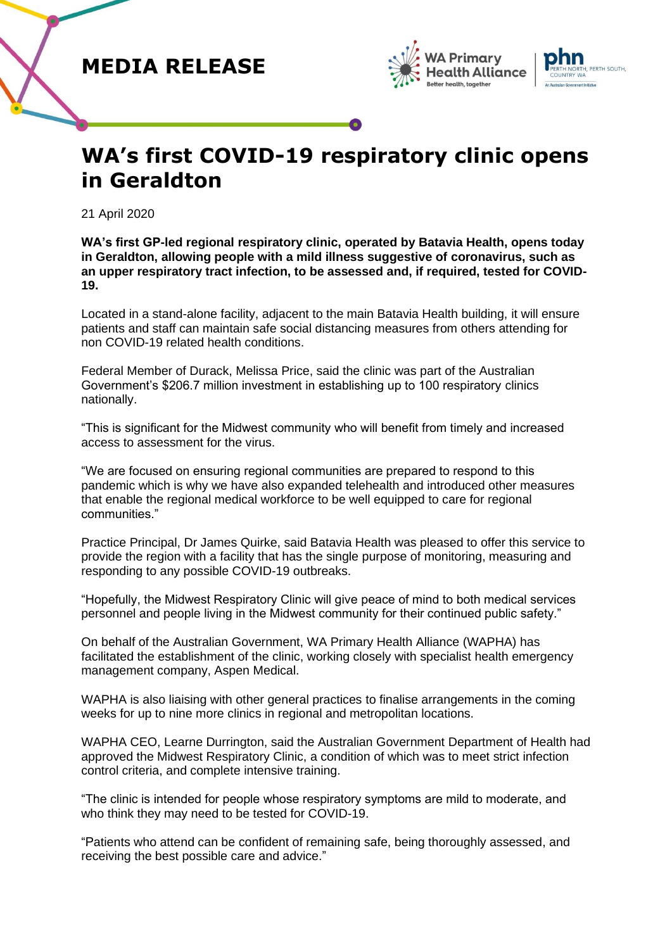



## **WA's first COVID-19 respiratory clinic opens in Geraldton**

21 April 2020

**WA's first GP-led regional respiratory clinic, operated by Batavia Health, opens today in Geraldton, allowing people with a mild illness suggestive of coronavirus, such as an upper respiratory tract infection, to be assessed and, if required, tested for COVID-19.**

Located in a stand-alone facility, adjacent to the main Batavia Health building, it will ensure patients and staff can maintain safe social distancing measures from others attending for non COVID-19 related health conditions.

Federal Member of Durack, Melissa Price, said the clinic was part of the Australian Government's \$206.7 million investment in establishing up to 100 respiratory clinics nationally.

"This is significant for the Midwest community who will benefit from timely and increased access to assessment for the virus.

"We are focused on ensuring regional communities are prepared to respond to this pandemic which is why we have also expanded telehealth and introduced other measures that enable the regional medical workforce to be well equipped to care for regional communities."

Practice Principal, Dr James Quirke, said Batavia Health was pleased to offer this service to provide the region with a facility that has the single purpose of monitoring, measuring and responding to any possible COVID-19 outbreaks.

"Hopefully, the Midwest Respiratory Clinic will give peace of mind to both medical services personnel and people living in the Midwest community for their continued public safety."

On behalf of the Australian Government, WA Primary Health Alliance (WAPHA) has facilitated the establishment of the clinic, working closely with specialist health emergency management company, Aspen Medical.

WAPHA is also liaising with other general practices to finalise arrangements in the coming weeks for up to nine more clinics in regional and metropolitan locations.

WAPHA CEO, Learne Durrington, said the Australian Government Department of Health had approved the Midwest Respiratory Clinic, a condition of which was to meet strict infection control criteria, and complete intensive training.

"The clinic is intended for people whose respiratory symptoms are mild to moderate, and who think they may need to be tested for COVID-19.

"Patients who attend can be confident of remaining safe, being thoroughly assessed, and receiving the best possible care and advice."